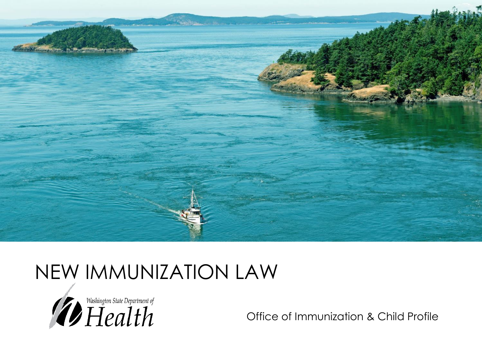

### NEW IMMUNIZATION LAW



Office of Immunization & Child Profile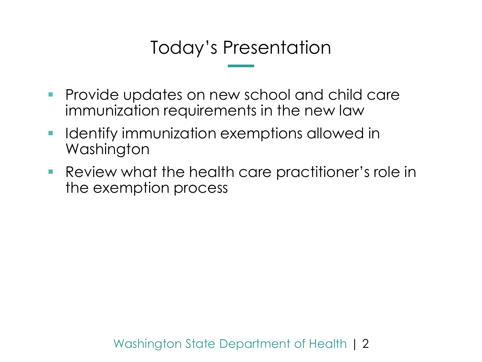### Today's Presentation

- **Provide updates on new school and child care** immunization requirements in the new law
- **I** Identify immunization exemptions allowed in Washington
- Review what the health care practitioner's role in the exemption process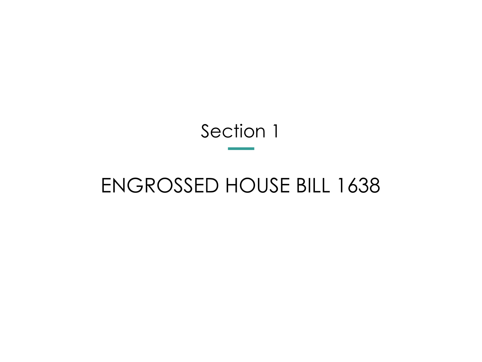### Section 1

# ENGROSSED HOUSE BILL 1638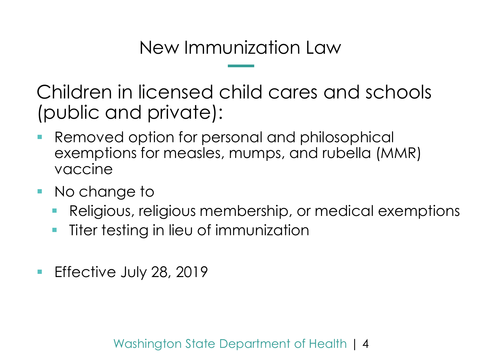New Immunization Law

Children in licensed child cares and schools (public and private):

- **Removed option for personal and philosophical** exemptions for measles, mumps, and rubella (MMR) vaccine
- **No change to** 
	- Religious, religious membership, or medical exemptions
	- **Titer testing in lieu of immunization**
- **Effective July 28, 2019**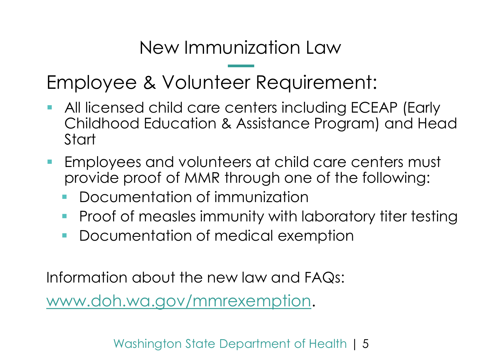New Immunization Law

Employee & Volunteer Requirement:

- All licensed child care centers including ECEAP (Early Childhood Education & Assistance Program) and Head **Start**
- **Employees and volunteers at child care centers must** provide proof of MMR through one of the following:
	- Documentation of immunization
	- Proof of measles immunity with laboratory titer testing
	- **Documentation of medical exemption**

Information about the new law and FAQs:

[www.doh.wa.gov/mmrexemption](http://www.doh.wa.gov/mmrexemption).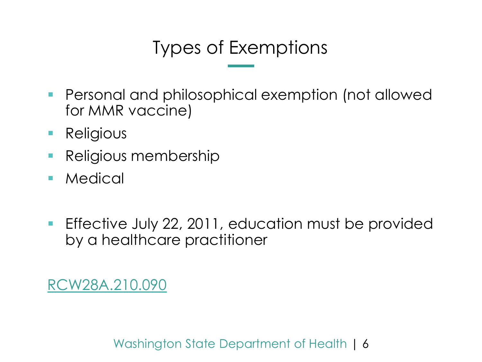## Types of Exemptions

- Personal and philosophical exemption (not allowed for MMR vaccine)
- **Religious**
- **Religious membership**
- **Medical**
- **Effective July 22, 2011, education must be provided** by a healthcare practitioner

[RCW28A.210.090](https://app.leg.wa.gov/RCW/default.aspx?cite=28A.210.090)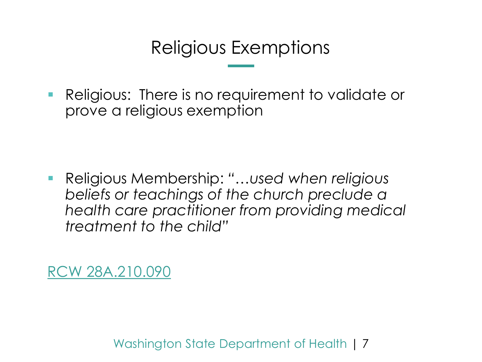### Religious Exemptions

**•** Religious: There is no requirement to validate or prove a religious exemption

 Religious Membership: *"…used when religious beliefs or teachings of the church preclude a health care practitioner from providing medical treatment to the child"*

[RCW 28A.210.090](https://app.leg.wa.gov/RCW/default.aspx?cite=28A.210.090)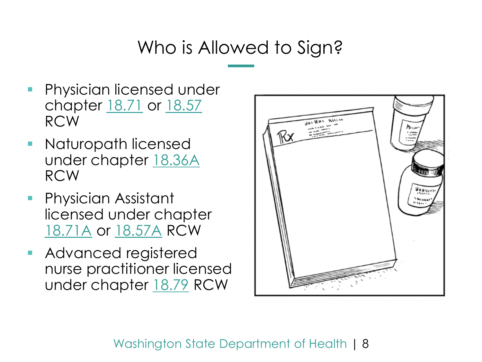### Who is Allowed to Sign?

- **Physician licensed under** chapter [18.71](http://app.leg.wa.gov/RCW/default.aspx?cite=18.71) or [18.57](http://app.leg.wa.gov/RCW/default.aspx?cite=18.57) RCW
- **Naturopath licensed** under chapter [18.36A](http://app.leg.wa.gov/RCW/default.aspx?cite=18.36A) RCW
- **Physician Assistant** licensed under chapter [18.71A](http://app.leg.wa.gov/RCW/default.aspx?cite=18.71A) or [18.57A](http://app.leg.wa.gov/RCW/default.aspx?cite=18.57A) RCW
- **Advanced registered** nurse practitioner licensed under chapter [18.79](http://app.leg.wa.gov/RCW/default.aspx?cite=18.79) RCW

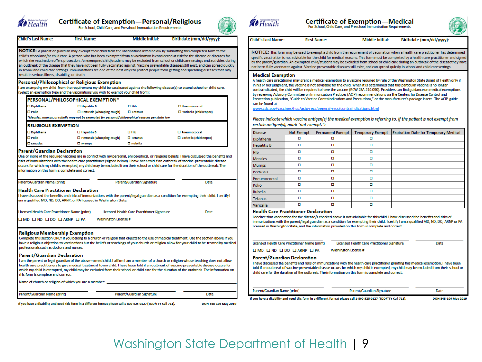

Child's Last Name:

 $\square$  Diphtheria

 $\square$  Diphtheria

 $\square$  Polio

 $\square$  Measles

**Di** polio

result in serious illness, disability, or death.

**RELIGIOUS EXEMPTION** 

Parent/Guardian Declaration

Parent/Guardian Name (print)

information on this form is complete and correct.

**Health Care Practitioner Declaration** 

Licensed Health Care Practitioner Name (print)

**Religious Membership Exemption** 

Name of church or religion of which you are a member:

OMD OND ODO OARNP OPA

professionals such as doctors and nurses. Parent/Guardian Declaration

this form is complete and correct.

Parent/Guardian Name (print)

am a qualified MD, ND, DO, ARNP, or PA licensed in Washington State.

Personal/Philosophical or Religious Exemption

PERSONAL/PHILOSOPHICAL EXEMPTION\*

### **Certificate of Exemption-Personal/Religious**

NOTICE: A parent or guardian may exempt their child from the vaccinations listed below by submitting this completed form to the

child's school and/or child care. A person who has been exempted from a vaccination is considered at risk for the disease or diseases for

which the vaccination offers protection. An exempted child/student may be excluded from school or child care settings and activities during

an outbreak of the disease that they have not been fully vaccinated against. Vaccine preventable diseases still exist, and can spread quickly

 $\square$  Hib

 $\Pi$  Hib

One or more of the required vaccines are in conflict with my personal, philosophical, or religious beliefs. I have discussed the benefits and risks of immunizations with the health care practitioner (signed below). I have been told if an outbreak of vaccine-preventable disease occurs for which my child is exempted, my child may be excluded from their school or child care for the duration of the outbreak. The

have discussed the benefits and risks of immunizations with the parent/legal guardian as a condition for exempting their child. I certify I

Complete this section ONLY if you belong to a church or religion that objects to the use of medical treatment. Use the section above if you have a religious objection to vaccinations but the beliefs or teachings of your church or religion allow for your child to be treated by medical

I am the parent or legal guardian of the above-named child. I affirm I am a member of a church or religion whose teaching does not allow health care practitioners to give medical treatment to my child. I have been told if an outbreak of vaccine-preventable disease occurs for which my child is exempted, my child may be excluded from their school or child care for the duration of the outbreak. The information on

**Washington License #** 

 $\square$  Tetanus

 $\square$  Rubella

Parent/Guardian Signature

Licensed Health Care Practitioner Signature

Parent/Guardian Signature

 $\square$  Tetanus

in school and child care settings. Immunizations are one of the best ways to protect people from getting and spreading diseases that may

am exempting my child from the requirement my child be vaccinated against the following disease(s) to attend school or child care.

**First Name:** 

(Select an exemption type and the vaccinations you wish to exempt your child from):

 $\square$  Hepatitis B

**IT Henatitic R** 

 $\square$  Mumps

□ Pertussis (whooping cough)

\*Measles, mumps, or rubella may not be exempted for personal/philosophical reasons per state law

□ Pertussis (whooping cough)

For School, Child Care, and Preschool Immunization Requirements

Middle Initial:



Birthdate (mm/dd/vvvv):

D Pneumococcal

**El Pneumococcal** 

 $\square$  Varicella (chickenpox)

□ Varicella (chickenpox)

Date

Date



Certificate of Exemption—Medical<br>For School, Child Care, and Preschool Immunization Requirements

**Child's Last Name: First Name:**  **Middle Initial:** 

**Birthdate (mm/dd/vvvv)** 

NOTICE: This form may be used to exempt a child from the requirement of vaccination when a health care practitioner has determined specific vaccination is not advisable for the child for medical reasons. This form must be completed by a health care practitioner and signed by the parent/guardian. An exempted child/student may be excluded from school or child care during an outbreak of the disease they have not been fully vaccinated against. Vaccine preventable diseases still exist, and can spread quickly in school and child care settings.

#### **Medical Exemption**

A health care practitioner may grant a medical exemption to a vaccine required by rule of the Washington State Board of Health only if in his or her judgment, the vaccine is not advisable for the child. When it is determined that this particular vaccine is no longer contraindicated, the child will be required to have the vaccine (RCW 28A,210,090). Providers can find guidance on medical exemptions by reviewing Advisory Committee on Immunization Practices (ACIP) recommendations via the Centers for Disease Control and Prevention publication, "Guide to Vaccine Contraindications and Precautions," or the manufacturer's package insert. The ACIP guide can be found at:

www.cdc.gov/vaccines/hcp/acip-recs/general-recs/contraindications.html

Please indicate which vaccine antigen(s) the medical exemption is referring to. If the patient is not exempt from certain antigen(s), mark "not exempt.":

| <b>Disease</b>     | <b>Not Exempt</b> | <b>Permanent Exempt</b> | <b>Temporary Exempt</b> | <b>Expiration Date for Temporary Medical</b> |
|--------------------|-------------------|-------------------------|-------------------------|----------------------------------------------|
| Diphtheria         | о                 | о                       | о                       |                                              |
| <b>Hepatitis B</b> | о                 | о                       | о                       |                                              |
| Hib                | o                 | о                       | o                       |                                              |
| <b>Measles</b>     | O                 | О                       | O                       |                                              |
| <b>Mumps</b>       | o                 | о                       | o                       |                                              |
| Pertussis          | o                 | o                       | o                       |                                              |
| Pneumococcal       | o                 | о                       | o                       |                                              |
| Polio              | о                 | о                       | о                       |                                              |
| Rubella            | o                 | o                       | O                       |                                              |
| Tetanus            | о                 | о                       | o                       |                                              |
| Varicella          | o                 | о                       | o                       |                                              |

#### **Health Care Practitioner Declaration**

I declare that vaccination for the disease/s checked above is not advisable for this child. I have discussed the benefits and risks of immunizations with the parent/legal guardian as a condition for exempting their child. I certify I am a qualified MD, ND, DO, ARNP or PA licensed in Washington State, and the information provided on this form is complete and correct.

| Licensed Health Care Practitioner Name (print)                     | <b>Licensed Health Care Practitioner Signature</b>                                                                                                                                                                                                                                                                                                                                       | Date |  |  |  |  |  |  |  |
|--------------------------------------------------------------------|------------------------------------------------------------------------------------------------------------------------------------------------------------------------------------------------------------------------------------------------------------------------------------------------------------------------------------------------------------------------------------------|------|--|--|--|--|--|--|--|
| $\square$ MD $\square$ ND $\square$ DO $\square$ ARNP $\square$ PA | Washington License #                                                                                                                                                                                                                                                                                                                                                                     |      |  |  |  |  |  |  |  |
| <b>Parent/Guardian Declaration</b>                                 | I have discussed the benefits and risks of immunizations with the health care practitioner granting this medical exemption. I have been<br>told if an outbreak of vaccine-preventable disease occurs for which my child is exempted, my child may be excluded from their school or<br>child care for the duration of the outbreak. The information on this form is complete and correct. |      |  |  |  |  |  |  |  |
| Parent/Guardian Name (print)                                       | Parent/Guardian Signature                                                                                                                                                                                                                                                                                                                                                                | Date |  |  |  |  |  |  |  |

If you have a disability and need this form in a different format please call 1-800-525-0127 (TDD/TTY Call 711).

DOH-348-106 May 2019

If you have a disability and need this form in a different format please call 1-800-525-0127 (TDD/TTY Call 711).

DOH-348-106 May 2019

Date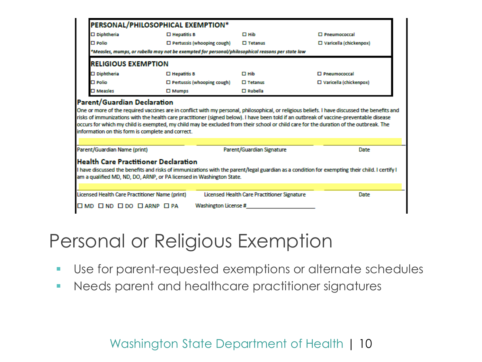| PERSONAL/PHILOSOPHICAL EXEMPTION*                                                                                   |                       |                                   |                                             |                                                                                                                                                                                                                                                                                                                                                                                                                                   |  |  |
|---------------------------------------------------------------------------------------------------------------------|-----------------------|-----------------------------------|---------------------------------------------|-----------------------------------------------------------------------------------------------------------------------------------------------------------------------------------------------------------------------------------------------------------------------------------------------------------------------------------------------------------------------------------------------------------------------------------|--|--|
| $\square$ Diphtheria                                                                                                | $\square$ Hepatitis B |                                   | $\Box$ Hib                                  | □ Pneumococcal                                                                                                                                                                                                                                                                                                                                                                                                                    |  |  |
| $\square$ Polio                                                                                                     |                       | $\Box$ Pertussis (whooping cough) | $\Box$ Tetanus                              | □ Varicella (chickenpox)                                                                                                                                                                                                                                                                                                                                                                                                          |  |  |
| Measles, mumps, or rubella may not be exempted for personal/philosophical reasons per state law **                  |                       |                                   |                                             |                                                                                                                                                                                                                                                                                                                                                                                                                                   |  |  |
| <b>RELIGIOUS EXEMPTION</b>                                                                                          |                       |                                   |                                             |                                                                                                                                                                                                                                                                                                                                                                                                                                   |  |  |
| $\square$ Diphtheria                                                                                                | $\Box$ Hepatitis B    |                                   | $\Box$ Hib                                  | $\Box$ Pneumococcal                                                                                                                                                                                                                                                                                                                                                                                                               |  |  |
| $\square$ Polio                                                                                                     |                       | $\Box$ Pertussis (whooping cough) | $\square$ Tetanus                           | $\square$ Varicella (chickenpox)                                                                                                                                                                                                                                                                                                                                                                                                  |  |  |
| $\square$ Measles                                                                                                   | $\square$ Mumps       |                                   | $\square$ Rubella                           |                                                                                                                                                                                                                                                                                                                                                                                                                                   |  |  |
| <b>Parent/Guardian Declaration</b>                                                                                  |                       |                                   |                                             | One or more of the required vaccines are in conflict with my personal, philosophical, or religious beliefs. I have discussed the benefits and<br>risks of immunizations with the health care practitioner (signed below). I have been told if an outbreak of vaccine-preventable disease<br>occurs for which my child is exempted, my child may be excluded from their school or child care for the duration of the outbreak. The |  |  |
| information on this form is complete and correct.                                                                   |                       |                                   |                                             |                                                                                                                                                                                                                                                                                                                                                                                                                                   |  |  |
| Parent/Guardian Name (print)                                                                                        |                       |                                   | Parent/Guardian Signature                   | Date                                                                                                                                                                                                                                                                                                                                                                                                                              |  |  |
| <b>Health Care Practitioner Declaration</b><br>am a qualified MD, ND, DO, ARNP, or PA licensed in Washington State. |                       |                                   |                                             | I have discussed the benefits and risks of immunizations with the parent/legal guardian as a condition for exempting their child. I certify I                                                                                                                                                                                                                                                                                     |  |  |
|                                                                                                                     |                       |                                   |                                             |                                                                                                                                                                                                                                                                                                                                                                                                                                   |  |  |
| Licensed Health Care Practitioner Name (print)                                                                      |                       |                                   | Licensed Health Care Practitioner Signature | Date                                                                                                                                                                                                                                                                                                                                                                                                                              |  |  |

### Personal or Religious Exemption

- Use for parent-requested exemptions or alternate schedules
- **Needs parent and healthcare practitioner signatures**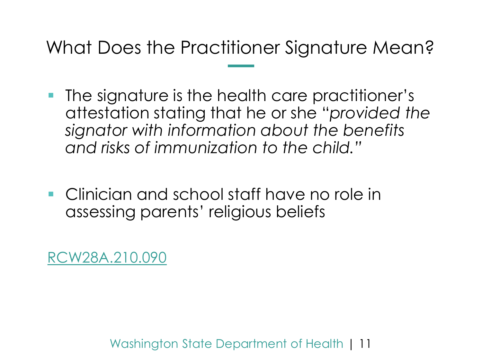What Does the Practitioner Signature Mean?

- **The signature is the health care practitioner's** attestation stating that he or she "*provided the signator with information about the benefits and risks of immunization to the child."*
- **Clinician and school staff have no role in** assessing parents' religious beliefs

[RCW28A.210.090](https://app.leg.wa.gov/RCW/default.aspx?cite=28A.210.090)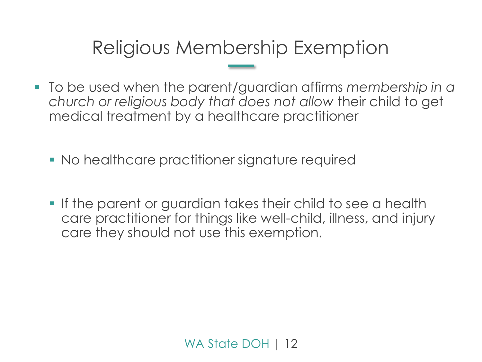### Religious Membership Exemption

- To be used when the parent/guardian affirms *membership in a church or religious body that does not allow* their child to get medical treatment by a healthcare practitioner
	- No healthcare practitioner signature required
	- If the parent or guardian takes their child to see a health care practitioner for things like well-child, illness, and injury care they should not use this exemption.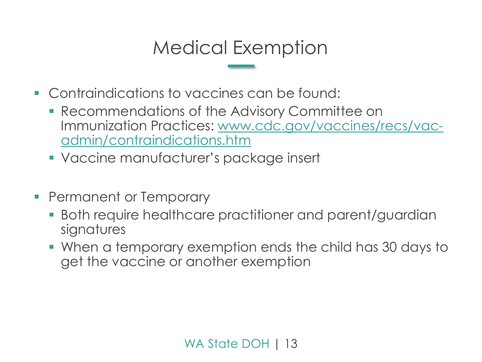### Medical Exemption

- **Contraindications to vaccines can be found:** 
	- **Recommendations of the Advisory Committee on** [Immunization Practices: www.cdc.gov/vaccines/recs/vac](http://www.cdc.gov/vaccines/recs/vac-admin/contraindications.htm)admin/contraindications.htm
	- Vaccine manufacturer's package insert
- **Permanent or Temporary** 
	- Both require healthcare practitioner and parent/guardian signatures
	- When a temporary exemption ends the child has 30 days to get the vaccine or another exemption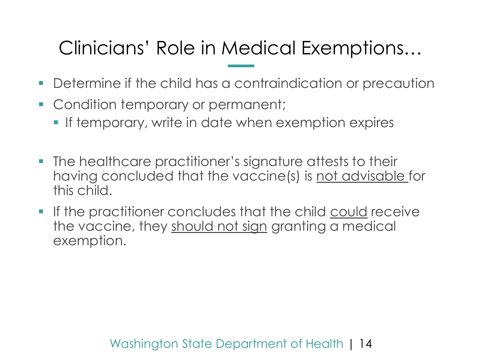# Clinicians' Role in Medical Exemptions…

- Determine if the child has a contraindication or precaution
- Condition temporary or permanent;
	- **If temporary, write in date when exemption expires**
- **The healthcare practitioner's signature attests to their** having concluded that the vaccine(s) is not advisable for this child.
- **If the practitioner concludes that the child could receive** the vaccine, they should not sign granting a medical exemption.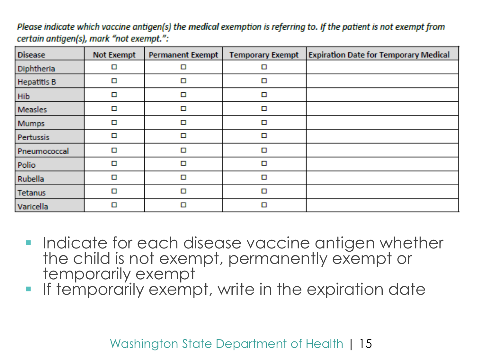| <b>Disease</b>     | <b>Not Exempt</b> | <b>Permanent Exempt</b> | <b>Temporary Exempt</b> | <b>Expiration Date for Temporary Medical</b> |
|--------------------|-------------------|-------------------------|-------------------------|----------------------------------------------|
| Diphtheria         | О                 | О                       | о                       |                                              |
| <b>Hepatitis B</b> | О                 | О                       | О                       |                                              |
| Hib                | О                 | О                       | О                       |                                              |
| <b>Measles</b>     | О                 | О                       | О                       |                                              |
| <b>Mumps</b>       | □                 | О                       | О                       |                                              |
| Pertussis          | О                 | О                       | □                       |                                              |
| Pneumococcal       | О                 | О                       | О                       |                                              |
| Polio              | О                 | О                       | О                       |                                              |
| Rubella            | О                 | О                       | О                       |                                              |
| Tetanus            | О                 | О                       | О                       |                                              |
| Varicella          | О                 | О                       | О                       |                                              |

Please indicate which vaccine antigen(s) the medical exemption is referring to. If the patient is not exempt from certain antigen(s), mark "not exempt.":

- **Indicate for each disease vaccine antigen whether** the child is not exempt, permanently exempt or temporarily exempt
- **If temporarily exempt, write in the expiration date**